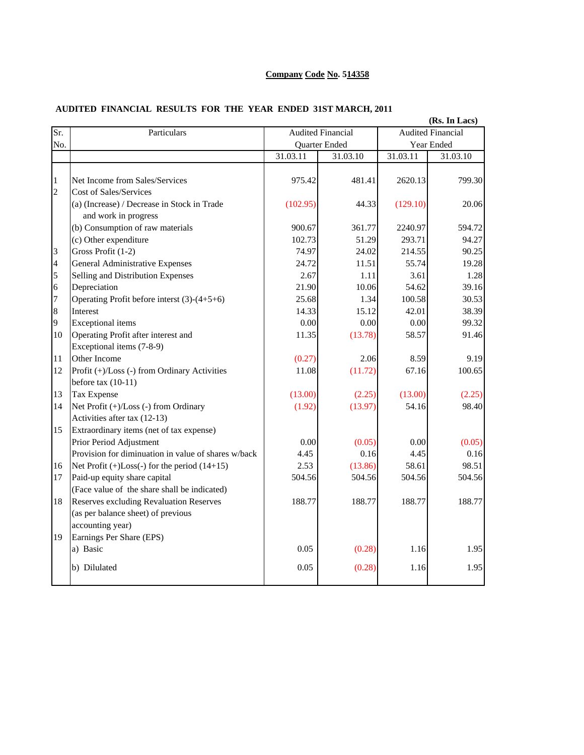## **Company Code No. 514358**

## **AUDITED FINANCIAL RESULTS FOR THE YEAR ENDED 31ST MARCH, 2011**

|                |                                                                                                      |                                           |          |                          | (Rs. In Lacs) |  |
|----------------|------------------------------------------------------------------------------------------------------|-------------------------------------------|----------|--------------------------|---------------|--|
| Sr.            | Particulars                                                                                          | <b>Audited Financial</b><br>Quarter Ended |          | <b>Audited Financial</b> |               |  |
| No.            |                                                                                                      |                                           |          | Year Ended               |               |  |
|                |                                                                                                      | 31.03.11                                  | 31.03.10 | 31.03.11                 | 31.03.10      |  |
| $\mathbf{1}$   | Net Income from Sales/Services                                                                       | 975.42                                    | 481.41   | 2620.13                  | 799.30        |  |
| $\overline{2}$ | <b>Cost of Sales/Services</b><br>(a) (Increase) / Decrease in Stock in Trade<br>and work in progress | (102.95)                                  | 44.33    | (129.10)                 | 20.06         |  |
|                | (b) Consumption of raw materials                                                                     | 900.67                                    | 361.77   | 2240.97                  | 594.72        |  |
|                | (c) Other expenditure                                                                                | 102.73                                    | 51.29    | 293.71                   | 94.27         |  |
| 3              | Gross Profit (1-2)                                                                                   | 74.97                                     | 24.02    | 214.55                   | 90.25         |  |
| $\overline{4}$ | <b>General Administrative Expenses</b>                                                               | 24.72                                     | 11.51    | 55.74                    | 19.28         |  |
| 5              | Selling and Distribution Expenses                                                                    | 2.67                                      | 1.11     | 3.61                     | 1.28          |  |
| 6              | Depreciation                                                                                         | 21.90                                     | 10.06    | 54.62                    | 39.16         |  |
| 7              | Operating Profit before interst $(3)-(4+5+6)$                                                        | 25.68                                     | 1.34     | 100.58                   | 30.53         |  |
| 8              | Interest                                                                                             | 14.33                                     | 15.12    | 42.01                    | 38.39         |  |
| 9              | <b>Exceptional</b> items                                                                             | 0.00                                      | 0.00     | 0.00                     | 99.32         |  |
| 10             | Operating Profit after interest and                                                                  | 11.35                                     | (13.78)  | 58.57                    | 91.46         |  |
|                | Exceptional items (7-8-9)                                                                            |                                           |          |                          |               |  |
| 11             | Other Income                                                                                         | (0.27)                                    | 2.06     | 8.59                     | 9.19          |  |
| 12             | Profit (+)/Loss (-) from Ordinary Activities<br>before tax $(10-11)$                                 | 11.08                                     | (11.72)  | 67.16                    | 100.65        |  |
| 13             | Tax Expense                                                                                          | (13.00)                                   | (2.25)   | (13.00)                  | (2.25)        |  |
| 14             | Net Profit (+)/Loss (-) from Ordinary<br>Activities after tax (12-13)                                | (1.92)                                    | (13.97)  | 54.16                    | 98.40         |  |
| 15             | Extraordinary items (net of tax expense)                                                             |                                           |          |                          |               |  |
|                | Prior Period Adjustment                                                                              | 0.00                                      | (0.05)   | 0.00                     | (0.05)        |  |
|                | Provision for diminuation in value of shares w/back                                                  | 4.45                                      | 0.16     | 4.45                     | 0.16          |  |
| 16             | Net Profit $(+)$ Loss $(-)$ for the period $(14+15)$                                                 | 2.53                                      | (13.86)  | 58.61                    | 98.51         |  |
| 17             | Paid-up equity share capital                                                                         | 504.56                                    | 504.56   | 504.56                   | 504.56        |  |
|                | (Face value of the share shall be indicated)                                                         |                                           |          |                          |               |  |
| 18             | <b>Reserves excluding Revaluation Reserves</b>                                                       | 188.77                                    | 188.77   | 188.77                   | 188.77        |  |
|                | (as per balance sheet) of previous                                                                   |                                           |          |                          |               |  |
|                | accounting year)                                                                                     |                                           |          |                          |               |  |
| 19             | Earnings Per Share (EPS)                                                                             |                                           |          |                          |               |  |
|                | a) Basic                                                                                             | 0.05                                      | (0.28)   | 1.16                     | 1.95          |  |
|                | b) Dilulated                                                                                         | 0.05                                      | (0.28)   | 1.16                     | 1.95          |  |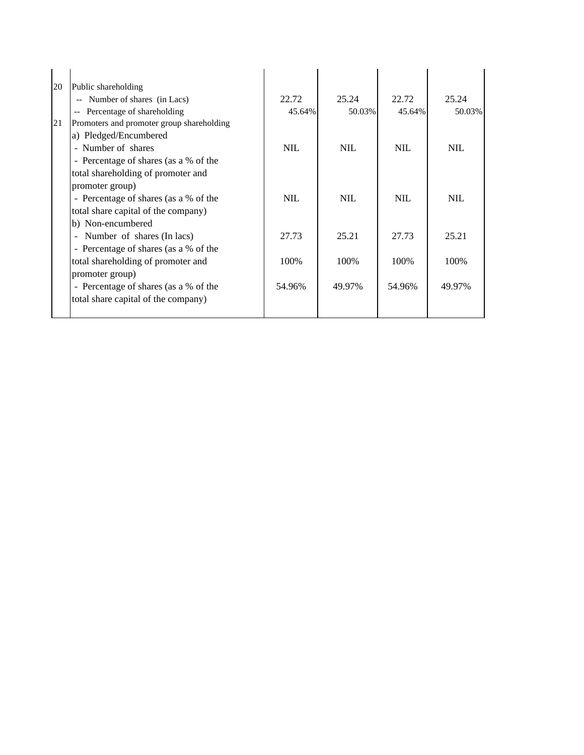| 20 | Public shareholding                       |            |            |            |            |
|----|-------------------------------------------|------------|------------|------------|------------|
|    | Number of shares (in Lacs)<br>$- -$       | 22.72      | 25.24      | 22.72      | 25.24      |
|    | Percentage of shareholding                | 45.64%     | 50.03%     | 45.64%     | 50.03%     |
| 21 | Promoters and promoter group shareholding |            |            |            |            |
|    | a) Pledged/Encumbered                     |            |            |            |            |
|    | - Number of shares                        | <b>NIL</b> | <b>NIL</b> | <b>NIL</b> | NIL        |
|    | - Percentage of shares (as a % of the     |            |            |            |            |
|    | total shareholding of promoter and        |            |            |            |            |
|    | promoter group)                           |            |            |            |            |
|    | - Percentage of shares (as a % of the     | <b>NIL</b> | <b>NIL</b> | <b>NIL</b> | <b>NIL</b> |
|    | total share capital of the company)       |            |            |            |            |
|    | b) Non-encumbered                         |            |            |            |            |
|    | Number of shares (In lacs)                | 27.73      | 25.21      | 27.73      | 25.21      |
|    | - Percentage of shares (as a % of the     |            |            |            |            |
|    | total shareholding of promoter and        | 100%       | 100%       | 100%       | 100%       |
|    | promoter group)                           |            |            |            |            |
|    | - Percentage of shares (as a % of the     | 54.96%     | 49.97%     | 54.96%     | 49.97%     |
|    | total share capital of the company)       |            |            |            |            |
|    |                                           |            |            |            |            |